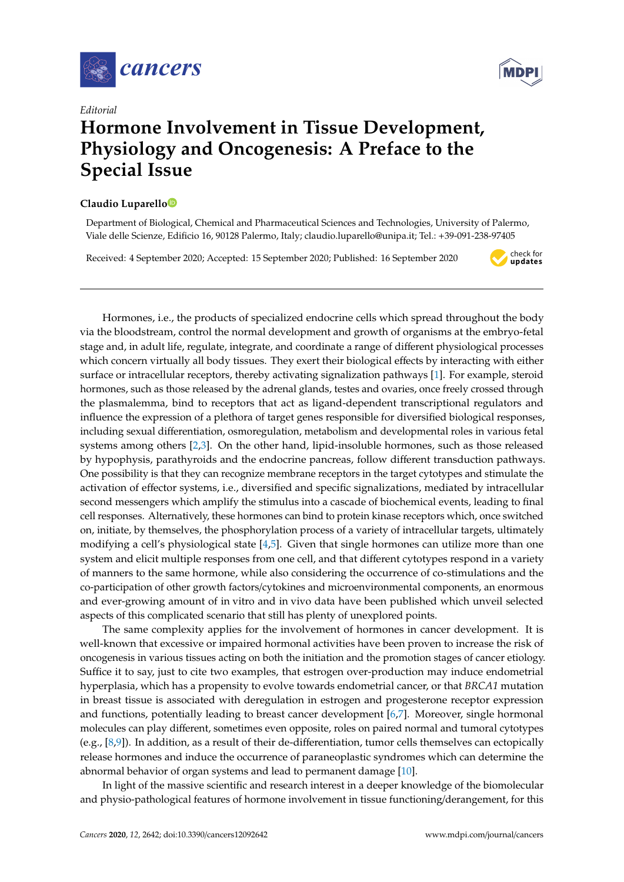

*Editorial*

## **Hormone Involvement in Tissue Development, Physiology and Oncogenesis: A Preface to the Special Issue**

## **Claudio Luparell[o](https://orcid.org/0000-0001-9821-5891)**

Department of Biological, Chemical and Pharmaceutical Sciences and Technologies, University of Palermo, Viale delle Scienze, Edificio 16, 90128 Palermo, Italy; claudio.luparello@unipa.it; Tel.: +39-091-238-97405

Received: 4 September 2020; Accepted: 15 September 2020; Published: 16 September 2020



Hormones, i.e., the products of specialized endocrine cells which spread throughout the body via the bloodstream, control the normal development and growth of organisms at the embryo-fetal stage and, in adult life, regulate, integrate, and coordinate a range of different physiological processes which concern virtually all body tissues. They exert their biological effects by interacting with either surface or intracellular receptors, thereby activating signalization pathways [\[1\]](#page-1-0). For example, steroid hormones, such as those released by the adrenal glands, testes and ovaries, once freely crossed through the plasmalemma, bind to receptors that act as ligand-dependent transcriptional regulators and influence the expression of a plethora of target genes responsible for diversified biological responses, including sexual differentiation, osmoregulation, metabolism and developmental roles in various fetal systems among others [\[2,](#page-1-1)[3\]](#page-1-2). On the other hand, lipid-insoluble hormones, such as those released by hypophysis, parathyroids and the endocrine pancreas, follow different transduction pathways. One possibility is that they can recognize membrane receptors in the target cytotypes and stimulate the activation of effector systems, i.e., diversified and specific signalizations, mediated by intracellular second messengers which amplify the stimulus into a cascade of biochemical events, leading to final cell responses. Alternatively, these hormones can bind to protein kinase receptors which, once switched on, initiate, by themselves, the phosphorylation process of a variety of intracellular targets, ultimately modifying a cell's physiological state [\[4](#page-1-3)[,5\]](#page-1-4). Given that single hormones can utilize more than one system and elicit multiple responses from one cell, and that different cytotypes respond in a variety of manners to the same hormone, while also considering the occurrence of co-stimulations and the co-participation of other growth factors/cytokines and microenvironmental components, an enormous and ever-growing amount of in vitro and in vivo data have been published which unveil selected aspects of this complicated scenario that still has plenty of unexplored points.

The same complexity applies for the involvement of hormones in cancer development. It is well-known that excessive or impaired hormonal activities have been proven to increase the risk of oncogenesis in various tissues acting on both the initiation and the promotion stages of cancer etiology. Suffice it to say, just to cite two examples, that estrogen over-production may induce endometrial hyperplasia, which has a propensity to evolve towards endometrial cancer, or that *BRCA1* mutation in breast tissue is associated with deregulation in estrogen and progesterone receptor expression and functions, potentially leading to breast cancer development [\[6,](#page-1-5)[7\]](#page-1-6). Moreover, single hormonal molecules can play different, sometimes even opposite, roles on paired normal and tumoral cytotypes (e.g.,  $[8,9]$  $[8,9]$ ). In addition, as a result of their de-differentiation, tumor cells themselves can ectopically release hormones and induce the occurrence of paraneoplastic syndromes which can determine the abnormal behavior of organ systems and lead to permanent damage [\[10\]](#page-1-9).

In light of the massive scientific and research interest in a deeper knowledge of the biomolecular and physio-pathological features of hormone involvement in tissue functioning/derangement, for this